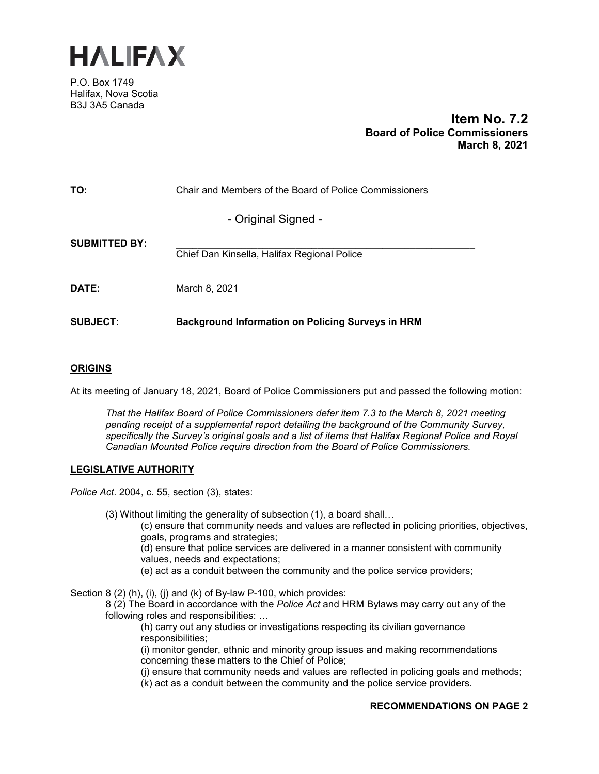

P.O. Box 1749 Halifax, Nova Scotia B3J 3A5 Canada

# **Item No. 7.2 Board of Police Commissioners March 8, 2021**

| TO:                  | Chair and Members of the Board of Police Commissioners   |
|----------------------|----------------------------------------------------------|
|                      | - Original Signed -                                      |
| <b>SUBMITTED BY:</b> | Chief Dan Kinsella, Halifax Regional Police              |
| <b>DATE:</b>         | March 8, 2021                                            |
| <b>SUBJECT:</b>      | <b>Background Information on Policing Surveys in HRM</b> |

#### **ORIGINS**

At its meeting of January 18, 2021, Board of Police Commissioners put and passed the following motion:

*That the Halifax Board of Police Commissioners defer item 7.3 to the March 8, 2021 meeting pending receipt of a supplemental report detailing the background of the Community Survey, specifically the Survey's original goals and a list of items that Halifax Regional Police and Royal Canadian Mounted Police require direction from the Board of Police Commissioners.* 

#### **LEGISLATIVE AUTHORITY**

*Police Act*. 2004, c. 55, section (3), states:

(3) Without limiting the generality of subsection (1), a board shall…

(c) ensure that community needs and values are reflected in policing priorities, objectives, goals, programs and strategies;

(d) ensure that police services are delivered in a manner consistent with community values, needs and expectations;

(e) act as a conduit between the community and the police service providers;

Section 8 (2) (h), (i), (i) and (k) of By-law P-100, which provides:

8 (2) The Board in accordance with the *Police Act* and HRM Bylaws may carry out any of the following roles and responsibilities: …

(h) carry out any studies or investigations respecting its civilian governance responsibilities;

(i) monitor gender, ethnic and minority group issues and making recommendations concerning these matters to the Chief of Police;

(j) ensure that community needs and values are reflected in policing goals and methods;

(k) act as a conduit between the community and the police service providers.

#### **RECOMMENDATIONS ON PAGE 2**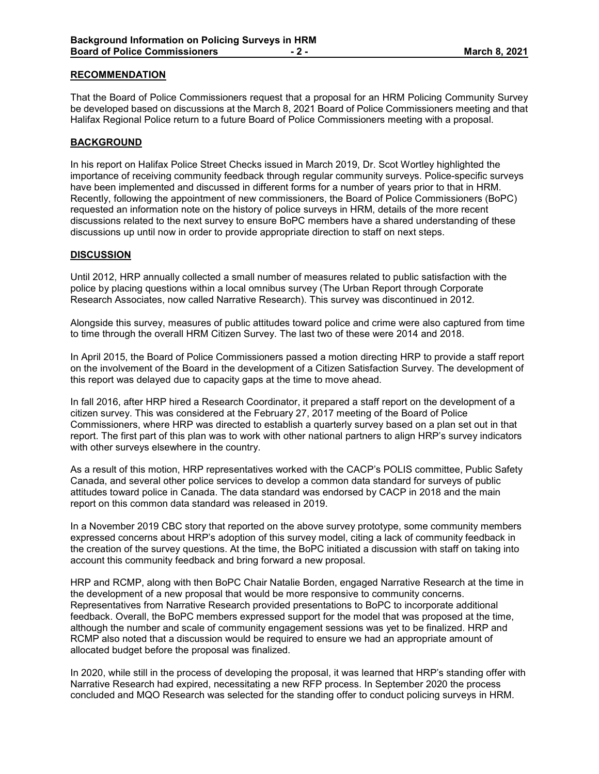### **RECOMMENDATION**

That the Board of Police Commissioners request that a proposal for an HRM Policing Community Survey be developed based on discussions at the March 8, 2021 Board of Police Commissioners meeting and that Halifax Regional Police return to a future Board of Police Commissioners meeting with a proposal.

## **BACKGROUND**

In his report on Halifax Police Street Checks issued in March 2019, Dr. Scot Wortley highlighted the importance of receiving community feedback through regular community surveys. Police-specific surveys have been implemented and discussed in different forms for a number of years prior to that in HRM. Recently, following the appointment of new commissioners, the Board of Police Commissioners (BoPC) requested an information note on the history of police surveys in HRM, details of the more recent discussions related to the next survey to ensure BoPC members have a shared understanding of these discussions up until now in order to provide appropriate direction to staff on next steps.

#### **DISCUSSION**

Until 2012, HRP annually collected a small number of measures related to public satisfaction with the police by placing questions within a local omnibus survey (The Urban Report through Corporate Research Associates, now called Narrative Research). This survey was discontinued in 2012.

Alongside this survey, measures of public attitudes toward police and crime were also captured from time to time through the overall HRM Citizen Survey. The last two of these were 2014 and 2018.

In April 2015, the Board of Police Commissioners passed a motion directing HRP to provide a staff report on the involvement of the Board in the development of a Citizen Satisfaction Survey. The development of this report was delayed due to capacity gaps at the time to move ahead.

In fall 2016, after HRP hired a Research Coordinator, it prepared a staff report on the development of a citizen survey. This was considered at the February 27, 2017 meeting of the Board of Police Commissioners, where HRP was directed to establish a quarterly survey based on a plan set out in that report. The first part of this plan was to work with other national partners to align HRP's survey indicators with other surveys elsewhere in the country.

As a result of this motion, HRP representatives worked with the CACP's POLIS committee, Public Safety Canada, and several other police services to develop a common data standard for surveys of public attitudes toward police in Canada. The data standard was endorsed by CACP in 2018 and the main report on this common data standard was released in 2019.

In a November 2019 CBC story that reported on the above survey prototype, some community members expressed concerns about HRP's adoption of this survey model, citing a lack of community feedback in the creation of the survey questions. At the time, the BoPC initiated a discussion with staff on taking into account this community feedback and bring forward a new proposal.

HRP and RCMP, along with then BoPC Chair Natalie Borden, engaged Narrative Research at the time in the development of a new proposal that would be more responsive to community concerns. Representatives from Narrative Research provided presentations to BoPC to incorporate additional feedback. Overall, the BoPC members expressed support for the model that was proposed at the time, although the number and scale of community engagement sessions was yet to be finalized. HRP and RCMP also noted that a discussion would be required to ensure we had an appropriate amount of allocated budget before the proposal was finalized.

In 2020, while still in the process of developing the proposal, it was learned that HRP's standing offer with Narrative Research had expired, necessitating a new RFP process. In September 2020 the process concluded and MQO Research was selected for the standing offer to conduct policing surveys in HRM.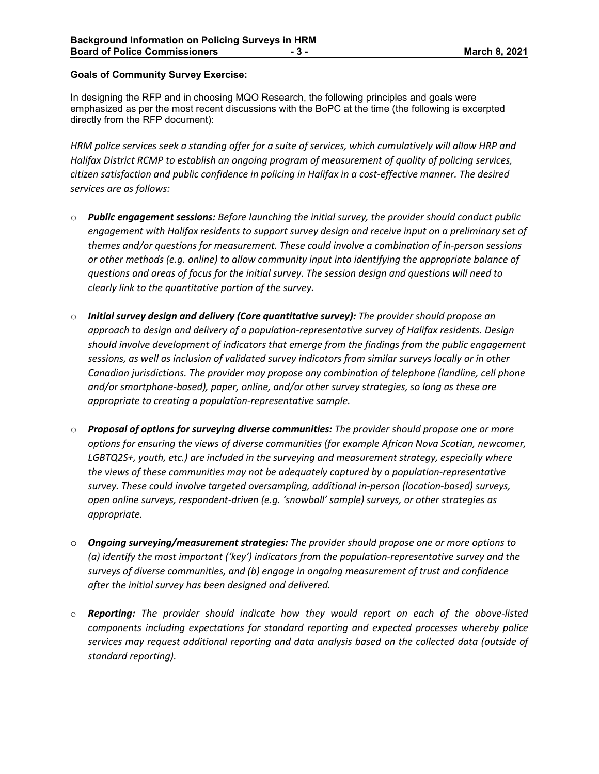## **Goals of Community Survey Exercise:**

In designing the RFP and in choosing MQO Research, the following principles and goals were emphasized as per the most recent discussions with the BoPC at the time (the following is excerpted directly from the RFP document):

*HRM police services seek a standing offer for a suite of services, which cumulatively will allow HRP and Halifax District RCMP to establish an ongoing program of measurement of quality of policing services, citizen satisfaction and public confidence in policing in Halifax in a cost-effective manner. The desired services are as follows:*

- o *Public engagement sessions: Before launching the initial survey, the provider should conduct public engagement with Halifax residents to support survey design and receive input on a preliminary set of themes and/or questions for measurement. These could involve a combination of in-person sessions or other methods (e.g. online) to allow community input into identifying the appropriate balance of questions and areas of focus for the initial survey. The session design and questions will need to clearly link to the quantitative portion of the survey.*
- o *Initial survey design and delivery (Core quantitative survey): The provider should propose an approach to design and delivery of a population-representative survey of Halifax residents. Design should involve development of indicators that emerge from the findings from the public engagement sessions, as well as inclusion of validated survey indicators from similar surveys locally or in other Canadian jurisdictions. The provider may propose any combination of telephone (landline, cell phone and/or smartphone-based), paper, online, and/or other survey strategies, so long as these are appropriate to creating a population-representative sample.*
- o *Proposal of options for surveying diverse communities: The provider should propose one or more options for ensuring the views of diverse communities (for example African Nova Scotian, newcomer, LGBTQ2S+, youth, etc.) are included in the surveying and measurement strategy, especially where the views of these communities may not be adequately captured by a population-representative survey. These could involve targeted oversampling, additional in-person (location-based) surveys, open online surveys, respondent-driven (e.g. 'snowball' sample) surveys, or other strategies as appropriate.*
- o *Ongoing surveying/measurement strategies: The provider should propose one or more options to (a) identify the most important ('key') indicators from the population-representative survey and the surveys of diverse communities, and (b) engage in ongoing measurement of trust and confidence after the initial survey has been designed and delivered.*
- o *Reporting: The provider should indicate how they would report on each of the above-listed components including expectations for standard reporting and expected processes whereby police services may request additional reporting and data analysis based on the collected data (outside of standard reporting).*